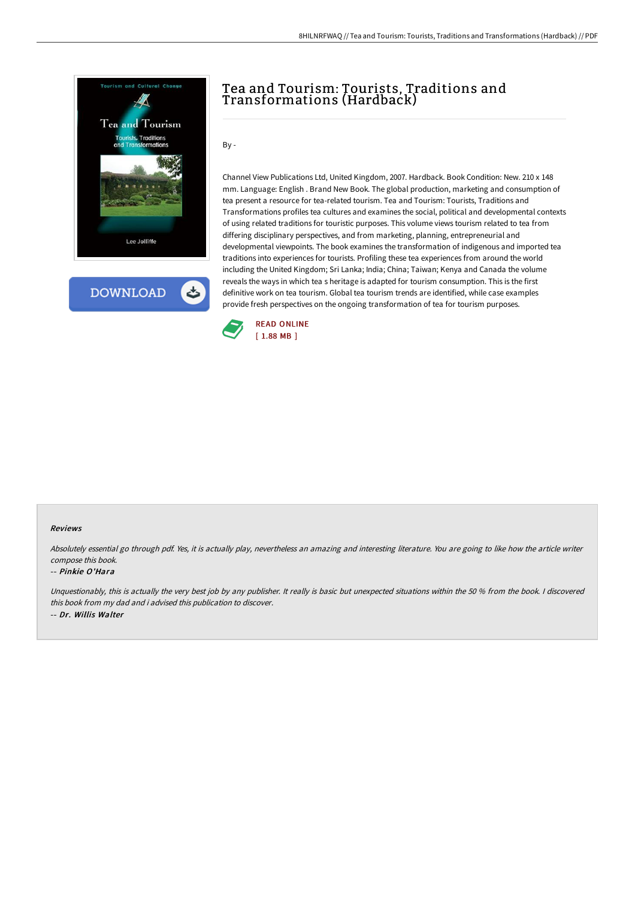



## Tea and Tourism: Tourists, Traditions and Transformations (Hardback)

 $By -$ 

Channel View Publications Ltd, United Kingdom, 2007. Hardback. Book Condition: New. 210 x 148 mm. Language: English . Brand New Book. The global production, marketing and consumption of tea present a resource for tea-related tourism. Tea and Tourism: Tourists, Traditions and Transformations profiles tea cultures and examines the social, political and developmental contexts of using related traditions for touristic purposes. This volume views tourism related to tea from differing disciplinary perspectives, and from marketing, planning, entrepreneurial and developmental viewpoints. The book examines the transformation of indigenous and imported tea traditions into experiences for tourists. Profiling these tea experiences from around the world including the United Kingdom; Sri Lanka; India; China; Taiwan; Kenya and Canada the volume reveals the ways in which tea s heritage is adapted for tourism consumption. This is the first definitive work on tea tourism. Global tea tourism trends are identified, while case examples provide fresh perspectives on the ongoing transformation of tea for tourism purposes.



## Reviews

Absolutely essential go through pdf. Yes, it is actually play, nevertheless an amazing and interesting literature. You are going to like how the article writer compose this book.

## -- Pinkie O'Hara

Unquestionably, this is actually the very best job by any publisher. It really is basic but unexpected situations within the 50 % from the book. I discovered this book from my dad and i advised this publication to discover. -- Dr. Willis Walter